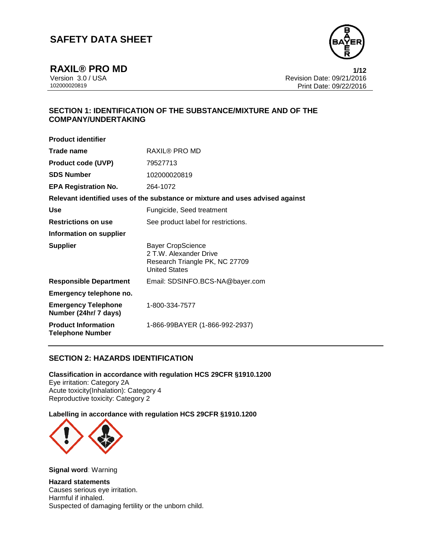

**RAXIL® PRO MD** 1/12<br>Version 3.0 / USA 1/12<br>Revision Date: 09/21/2016 Version 3.0 / USA Revision Date: 09/21/2016 Print Date: 09/22/2016

## **SECTION 1: IDENTIFICATION OF THE SUBSTANCE/MIXTURE AND OF THE COMPANY/UNDERTAKING**

| <b>Product identifier</b>                             |                                                                                                              |
|-------------------------------------------------------|--------------------------------------------------------------------------------------------------------------|
| Trade name                                            | <b>RAXIL® PRO MD</b>                                                                                         |
| <b>Product code (UVP)</b>                             | 79527713                                                                                                     |
| <b>SDS Number</b>                                     | 102000020819                                                                                                 |
| <b>EPA Registration No.</b>                           | 264-1072                                                                                                     |
|                                                       | Relevant identified uses of the substance or mixture and uses advised against                                |
| <b>Use</b>                                            | Fungicide, Seed treatment                                                                                    |
| <b>Restrictions on use</b>                            | See product label for restrictions.                                                                          |
| Information on supplier                               |                                                                                                              |
| <b>Supplier</b>                                       | <b>Bayer CropScience</b><br>2 T.W. Alexander Drive<br>Research Triangle PK, NC 27709<br><b>United States</b> |
| <b>Responsible Department</b>                         | Email: SDSINFO.BCS-NA@bayer.com                                                                              |
| Emergency telephone no.                               |                                                                                                              |
| <b>Emergency Telephone</b><br>Number (24hr/ 7 days)   | 1-800-334-7577                                                                                               |
| <b>Product Information</b><br><b>Telephone Number</b> | 1-866-99BAYER (1-866-992-2937)                                                                               |
|                                                       |                                                                                                              |

## **SECTION 2: HAZARDS IDENTIFICATION**

**Classification in accordance with regulation HCS 29CFR §1910.1200** Eye irritation: Category 2A Acute toxicity(Inhalation): Category 4 Reproductive toxicity: Category 2

**Labelling in accordance with regulation HCS 29CFR §1910.1200**



**Signal word**: Warning

**Hazard statements** Causes serious eye irritation. Harmful if inhaled. Suspected of damaging fertility or the unborn child.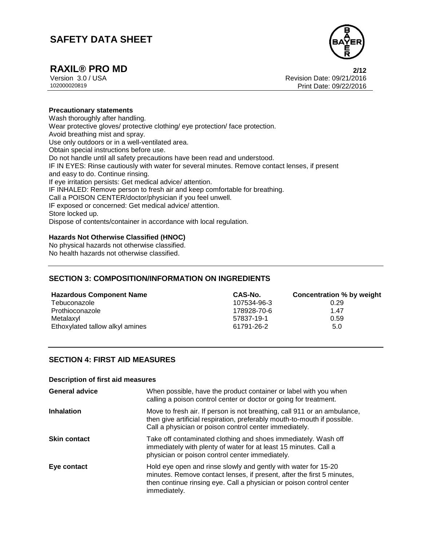

# **RAXIL® PRO MD 2/12**

Version 3.0 / USA Revision Date: 09/21/2016 Print Date: 09/22/2016

### **Precautionary statements**

Wash thoroughly after handling. Wear protective gloves/ protective clothing/ eye protection/ face protection. Avoid breathing mist and spray. Use only outdoors or in a well-ventilated area. Obtain special instructions before use. Do not handle until all safety precautions have been read and understood. IF IN EYES: Rinse cautiously with water for several minutes. Remove contact lenses, if present and easy to do. Continue rinsing. If eye irritation persists: Get medical advice/ attention. IF INHALED: Remove person to fresh air and keep comfortable for breathing. Call a POISON CENTER/doctor/physician if you feel unwell. IF exposed or concerned: Get medical advice/ attention. Store locked up. Dispose of contents/container in accordance with local regulation.

#### **Hazards Not Otherwise Classified (HNOC)**

No physical hazards not otherwise classified. No health hazards not otherwise classified.

### **SECTION 3: COMPOSITION/INFORMATION ON INGREDIENTS**

| <b>Hazardous Component Name</b> | CAS-No.     | Concentration % by weight |
|---------------------------------|-------------|---------------------------|
| Tebuconazole                    | 107534-96-3 | 0.29                      |
| Prothioconazole                 | 178928-70-6 | 1.47                      |
| Metalaxyl                       | 57837-19-1  | 0.59                      |
| Ethoxylated tallow alkyl amines | 61791-26-2  | 5.0                       |

### **SECTION 4: FIRST AID MEASURES**

#### **Description of first aid measures**

| <b>General advice</b> | When possible, have the product container or label with you when<br>calling a poison control center or doctor or going for treatment.                                                                                            |
|-----------------------|----------------------------------------------------------------------------------------------------------------------------------------------------------------------------------------------------------------------------------|
| <b>Inhalation</b>     | Move to fresh air. If person is not breathing, call 911 or an ambulance,<br>then give artificial respiration, preferably mouth-to-mouth if possible.<br>Call a physician or poison control center immediately.                   |
| <b>Skin contact</b>   | Take off contaminated clothing and shoes immediately. Wash off<br>immediately with plenty of water for at least 15 minutes. Call a<br>physician or poison control center immediately.                                            |
| Eye contact           | Hold eye open and rinse slowly and gently with water for 15-20<br>minutes. Remove contact lenses, if present, after the first 5 minutes,<br>then continue rinsing eye. Call a physician or poison control center<br>immediately. |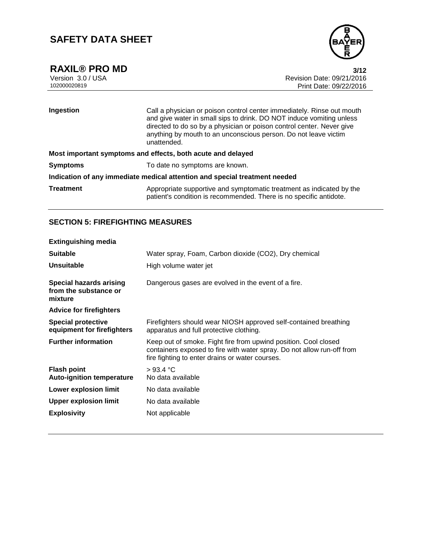



**RAXIL® PRO MD** 3/12<br>Version 3.0 / USA 3/12<br>Revision Date: 09/21/2016 Version 3.0 / USA Revision Date: 09/21/2016 Print Date: 09/22/2016

| Ingestion                                                                  | Call a physician or poison control center immediately. Rinse out mouth<br>and give water in small sips to drink. DO NOT induce vomiting unless<br>directed to do so by a physician or poison control center. Never give<br>anything by mouth to an unconscious person. Do not leave victim<br>unattended. |  |
|----------------------------------------------------------------------------|-----------------------------------------------------------------------------------------------------------------------------------------------------------------------------------------------------------------------------------------------------------------------------------------------------------|--|
| Most important symptoms and effects, both acute and delayed                |                                                                                                                                                                                                                                                                                                           |  |
| <b>Symptoms</b>                                                            | To date no symptoms are known.                                                                                                                                                                                                                                                                            |  |
| Indication of any immediate medical attention and special treatment needed |                                                                                                                                                                                                                                                                                                           |  |
| <b>Treatment</b>                                                           | Appropriate supportive and symptomatic treatment as indicated by the<br>patient's condition is recommended. There is no specific antidote.                                                                                                                                                                |  |

## **SECTION 5: FIREFIGHTING MEASURES**

| <b>Extinguishing media</b>                                         |                                                                                                                                                                                              |
|--------------------------------------------------------------------|----------------------------------------------------------------------------------------------------------------------------------------------------------------------------------------------|
| <b>Suitable</b>                                                    | Water spray, Foam, Carbon dioxide (CO2), Dry chemical                                                                                                                                        |
| <b>Unsuitable</b>                                                  | High volume water jet                                                                                                                                                                        |
| <b>Special hazards arising</b><br>from the substance or<br>mixture | Dangerous gases are evolved in the event of a fire.                                                                                                                                          |
| <b>Advice for firefighters</b>                                     |                                                                                                                                                                                              |
| <b>Special protective</b><br>equipment for firefighters            | Firefighters should wear NIOSH approved self-contained breathing<br>apparatus and full protective clothing.                                                                                  |
| <b>Further information</b>                                         | Keep out of smoke. Fight fire from upwind position. Cool closed<br>containers exposed to fire with water spray. Do not allow run-off from<br>fire fighting to enter drains or water courses. |
| <b>Flash point</b><br><b>Auto-ignition temperature</b>             | >93.4 °C<br>No data available                                                                                                                                                                |
| Lower explosion limit                                              | No data available                                                                                                                                                                            |
| Upper explosion limit                                              | No data available                                                                                                                                                                            |
| <b>Explosivity</b>                                                 | Not applicable                                                                                                                                                                               |
|                                                                    |                                                                                                                                                                                              |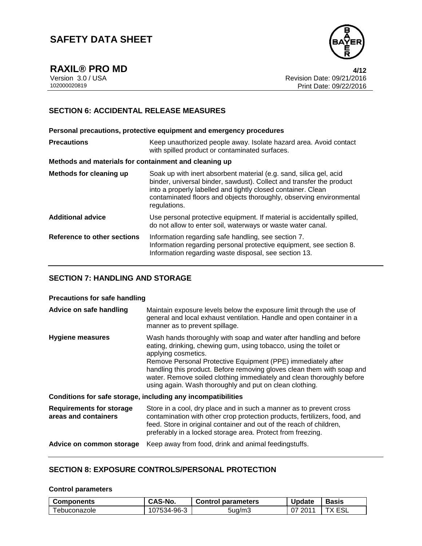

**RAXIL® PRO MD 4/12**

Version 3.0 / USA Revision Date: 09/21/2016<br>102000020819 Print Date: 09/22/2016 Print Date: 09/22/2016

## **SECTION 6: ACCIDENTAL RELEASE MEASURES**

**Personal precautions, protective equipment and emergency procedures Precautions Keep unauthorized people away. Isolate hazard area. Avoid contact** with spilled product or contaminated surfaces. **Methods and materials for containment and cleaning up Methods for cleaning up** Soak up with inert absorbent material (e.g. sand, silica gel, acid binder, universal binder, sawdust). Collect and transfer the product into a properly labelled and tightly closed container. Clean contaminated floors and objects thoroughly, observing environmental regulations. **Additional advice** Use personal protective equipment. If material is accidentally spilled, do not allow to enter soil, waterways or waste water canal. **Reference to other sections** Information regarding safe handling, see section 7. Information regarding personal protective equipment, see section 8. Information regarding waste disposal, see section 13.

### **SECTION 7: HANDLING AND STORAGE**

### **Precautions for safe handling**

| Advice on safe handling                                 | Maintain exposure levels below the exposure limit through the use of<br>general and local exhaust ventilation. Handle and open container in a<br>manner as to prevent spillage.                                                                                                                                                                                                                                                               |
|---------------------------------------------------------|-----------------------------------------------------------------------------------------------------------------------------------------------------------------------------------------------------------------------------------------------------------------------------------------------------------------------------------------------------------------------------------------------------------------------------------------------|
| Hygiene measures                                        | Wash hands thoroughly with soap and water after handling and before<br>eating, drinking, chewing gum, using tobacco, using the toilet or<br>applying cosmetics.<br>Remove Personal Protective Equipment (PPE) immediately after<br>handling this product. Before removing gloves clean them with soap and<br>water. Remove soiled clothing immediately and clean thoroughly before<br>using again. Wash thoroughly and put on clean clothing. |
|                                                         | Conditions for safe storage, including any incompatibilities                                                                                                                                                                                                                                                                                                                                                                                  |
| <b>Requirements for storage</b><br>areas and containers | Store in a cool, dry place and in such a manner as to prevent cross<br>contamination with other crop protection products, fertilizers, food, and<br>feed. Store in original container and out of the reach of children,<br>preferably in a locked storage area. Protect from freezing.                                                                                                                                                        |
| Advice on common storage                                | Keep away from food, drink and animal feedingstuffs.                                                                                                                                                                                                                                                                                                                                                                                          |

### **SECTION 8: EXPOSURE CONTROLS/PERSONAL PROTECTION**

#### **Control parameters**

| <b>Components</b> | CAS-No.     | <b>Control parameters</b> | <b>Update</b> | Basis |
|-------------------|-------------|---------------------------|---------------|-------|
| i ebuconazole     | 107534-96-3 | 5ua/m3                    | 2011          |       |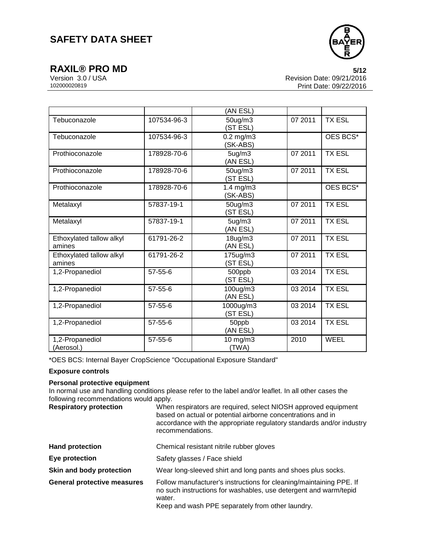

**RAXIL® PRO MD** 5/12<br>Version 3.0 / USA 6/12<br>Revision Date: 09/21/2016 Version 3.0 / USA Revision Date: 09/21/2016 Print Date: 09/22/2016

|                                    |               | (AN ESL)                   |         |               |
|------------------------------------|---------------|----------------------------|---------|---------------|
| Tebuconazole                       | 107534-96-3   | 50ug/m3<br>(ST ESL)        | 07 2011 | <b>TX ESL</b> |
| Tebuconazole                       | 107534-96-3   | $0.2$ mg/m $3$<br>(SK-ABS) |         | OES BCS*      |
| Prothioconazole                    | 178928-70-6   | 5ug/m3<br>(AN ESL)         | 07 2011 | <b>TX ESL</b> |
| Prothioconazole                    | 178928-70-6   | 50ug/m3<br>(ST ESL)        | 07 2011 | <b>TX ESL</b> |
| Prothioconazole                    | 178928-70-6   | $1.4$ mg/m $3$<br>(SK-ABS) |         | OES BCS*      |
| Metalaxyl                          | 57837-19-1    | 50ug/m3<br>(ST ESL)        | 07 2011 | <b>TX ESL</b> |
| Metalaxyl                          | 57837-19-1    | 5ug/m3<br>(AN ESL)         | 07 2011 | <b>TX ESL</b> |
| Ethoxylated tallow alkyl<br>amines | 61791-26-2    | 18ug/m3<br>(AN ESL)        | 07 2011 | <b>TX ESL</b> |
| Ethoxylated tallow alkyl<br>amines | 61791-26-2    | 175ug/m3<br>(ST ESL)       | 07 2011 | <b>TX ESL</b> |
| 1,2-Propanediol                    | 57-55-6       | 500ppb<br>(ST ESL)         | 03 2014 | <b>TX ESL</b> |
| 1,2-Propanediol                    | $57 - 55 - 6$ | 100ug/m3<br>(AN ESL)       | 03 2014 | <b>TX ESL</b> |
| 1,2-Propanediol                    | 57-55-6       | 1000ug/m3<br>(ST ESL)      | 03 2014 | <b>TX ESL</b> |
| 1,2-Propanediol                    | $57 - 55 - 6$ | 50ppb<br>(AN ESL)          | 03 2014 | <b>TX ESL</b> |
| 1,2-Propanediol<br>(Aerosol.)      | 57-55-6       | 10 mg/m3<br>(TWA)          | 2010    | <b>WEEL</b>   |

\*OES BCS: Internal Bayer CropScience "Occupational Exposure Standard"

### **Exposure controls**

### **Personal protective equipment**

In normal use and handling conditions please refer to the label and/or leaflet. In all other cases the following recommendations would apply.

| <b>Respiratory protection</b>      | When respirators are required, select NIOSH approved equipment<br>based on actual or potential airborne concentrations and in<br>accordance with the appropriate regulatory standards and/or industry<br>recommendations. |
|------------------------------------|---------------------------------------------------------------------------------------------------------------------------------------------------------------------------------------------------------------------------|
| <b>Hand protection</b>             | Chemical resistant nitrile rubber gloves                                                                                                                                                                                  |
| Eye protection                     | Safety glasses / Face shield                                                                                                                                                                                              |
| Skin and body protection           | Wear long-sleeved shirt and long pants and shoes plus socks.                                                                                                                                                              |
| <b>General protective measures</b> | Follow manufacturer's instructions for cleaning/maintaining PPE. If<br>no such instructions for washables, use detergent and warm/tepid<br>water.<br>Keep and wash PPE separately from other laundry.                     |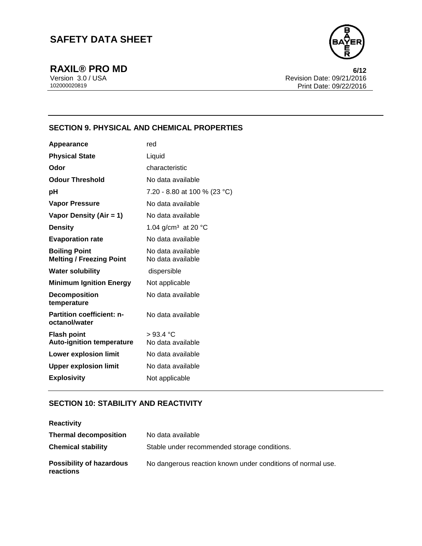

**RAXIL® PRO MD** 6/12<br>Version 3.0 / USA 6/12<br>Revision Date: 09/21/2016 Version 3.0 / USA Revision Date: 09/21/2016 Print Date: 09/22/2016

## **SECTION 9. PHYSICAL AND CHEMICAL PROPERTIES**

| <b>Appearance</b>                                       | red                                       |
|---------------------------------------------------------|-------------------------------------------|
| <b>Physical State</b>                                   | Liquid                                    |
| Odor                                                    | characteristic                            |
| <b>Odour Threshold</b>                                  | No data available                         |
| рH                                                      | 7.20 - 8.80 at 100 % (23 °C)              |
| <b>Vapor Pressure</b>                                   | No data available                         |
| Vapor Density (Air = 1)                                 | No data available                         |
| <b>Density</b>                                          | 1.04 g/cm <sup>3</sup> at 20 $^{\circ}$ C |
| <b>Evaporation rate</b>                                 | No data available                         |
| <b>Boiling Point</b><br><b>Melting / Freezing Point</b> | No data available<br>No data available    |
| <b>Water solubility</b>                                 | dispersible                               |
| <b>Minimum Ignition Energy</b>                          | Not applicable                            |
| <b>Decomposition</b><br>temperature                     | No data available                         |
| <b>Partition coefficient: n-</b><br>octanol/water       | No data available                         |
| <b>Flash point</b>                                      | >93.4 °C                                  |
| <b>Auto-ignition temperature</b>                        | No data available                         |
| <b>Lower explosion limit</b>                            | No data available                         |
| <b>Upper explosion limit</b>                            | No data available                         |
| <b>Explosivity</b>                                      | Not applicable                            |

## **SECTION 10: STABILITY AND REACTIVITY**

| <b>Reactivity</b>                            |                                                             |
|----------------------------------------------|-------------------------------------------------------------|
| <b>Thermal decomposition</b>                 | No data available                                           |
| <b>Chemical stability</b>                    | Stable under recommended storage conditions.                |
| <b>Possibility of hazardous</b><br>reactions | No dangerous reaction known under conditions of normal use. |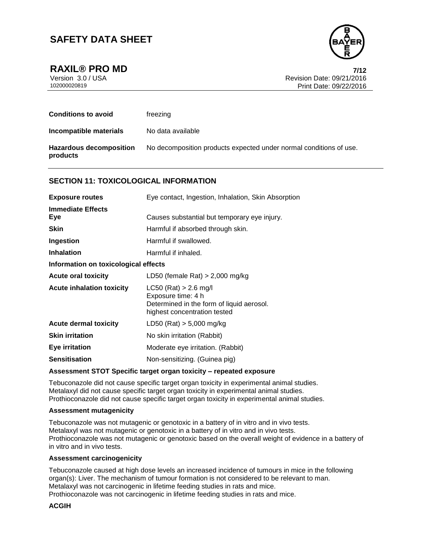

**RAXIL® PRO MD 7/12**

Version 3.0 / USA Revision Date: 09/21/2016<br>102000020819 Print Date: 09/22/2016 Print Date: 09/22/2016

| <b>Conditions to avoid</b>                 | freezing                                                           |
|--------------------------------------------|--------------------------------------------------------------------|
| Incompatible materials                     | No data available                                                  |
| <b>Hazardous decomposition</b><br>products | No decomposition products expected under normal conditions of use. |

### **SECTION 11: TOXICOLOGICAL INFORMATION**

| <b>Exposure routes</b>               | Eye contact, Ingestion, Inhalation, Skin Absorption                                                                        |  |
|--------------------------------------|----------------------------------------------------------------------------------------------------------------------------|--|
| <b>Immediate Effects</b><br>Eye      | Causes substantial but temporary eye injury.                                                                               |  |
| <b>Skin</b>                          | Harmful if absorbed through skin.                                                                                          |  |
| Ingestion                            | Harmful if swallowed.                                                                                                      |  |
| <b>Inhalation</b>                    | Harmful if inhaled.                                                                                                        |  |
| Information on toxicological effects |                                                                                                                            |  |
| <b>Acute oral toxicity</b>           | LD50 (female Rat) $> 2,000$ mg/kg                                                                                          |  |
| <b>Acute inhalation toxicity</b>     | $LC50$ (Rat) > 2.6 mg/l<br>Exposure time: 4 h<br>Determined in the form of liquid aerosol.<br>highest concentration tested |  |
| <b>Acute dermal toxicity</b>         | LD50 (Rat) > 5,000 mg/kg                                                                                                   |  |
| <b>Skin irritation</b>               | No skin irritation (Rabbit)                                                                                                |  |
| <b>Eye irritation</b>                | Moderate eye irritation. (Rabbit)                                                                                          |  |
| <b>Sensitisation</b>                 | Non-sensitizing. (Guinea pig)                                                                                              |  |

#### **Assessment STOT Specific target organ toxicity – repeated exposure**

Tebuconazole did not cause specific target organ toxicity in experimental animal studies. Metalaxyl did not cause specific target organ toxicity in experimental animal studies. Prothioconazole did not cause specific target organ toxicity in experimental animal studies.

#### **Assessment mutagenicity**

Tebuconazole was not mutagenic or genotoxic in a battery of in vitro and in vivo tests. Metalaxyl was not mutagenic or genotoxic in a battery of in vitro and in vivo tests. Prothioconazole was not mutagenic or genotoxic based on the overall weight of evidence in a battery of in vitro and in vivo tests.

#### **Assessment carcinogenicity**

Tebuconazole caused at high dose levels an increased incidence of tumours in mice in the following organ(s): Liver. The mechanism of tumour formation is not considered to be relevant to man. Metalaxyl was not carcinogenic in lifetime feeding studies in rats and mice. Prothioconazole was not carcinogenic in lifetime feeding studies in rats and mice.

#### **ACGIH**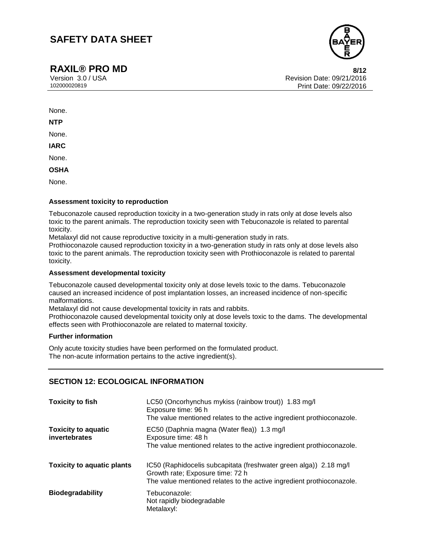## **RAXIL® PRO MD** 8/12

Version 3.0 / USA Revision Date: 09/21/2016 Print Date: 09/22/2016

None.

**NTP**

None.

**IARC**

None.

**OSHA**

None.

### **Assessment toxicity to reproduction**

Tebuconazole caused reproduction toxicity in a two-generation study in rats only at dose levels also toxic to the parent animals. The reproduction toxicity seen with Tebuconazole is related to parental toxicity.

Metalaxyl did not cause reproductive toxicity in a multi-generation study in rats.

Prothioconazole caused reproduction toxicity in a two-generation study in rats only at dose levels also toxic to the parent animals. The reproduction toxicity seen with Prothioconazole is related to parental toxicity.

#### **Assessment developmental toxicity**

Tebuconazole caused developmental toxicity only at dose levels toxic to the dams. Tebuconazole caused an increased incidence of post implantation losses, an increased incidence of non-specific malformations.

Metalaxyl did not cause developmental toxicity in rats and rabbits.

Prothioconazole caused developmental toxicity only at dose levels toxic to the dams. The developmental effects seen with Prothioconazole are related to maternal toxicity.

#### **Further information**

Only acute toxicity studies have been performed on the formulated product. The non-acute information pertains to the active ingredient(s).

## **SECTION 12: ECOLOGICAL INFORMATION**

| <b>Toxicity to fish</b>                     | LC50 (Oncorhynchus mykiss (rainbow trout)) 1.83 mg/l<br>Exposure time: 96 h<br>The value mentioned relates to the active ingredient prothioconazole.                           |
|---------------------------------------------|--------------------------------------------------------------------------------------------------------------------------------------------------------------------------------|
| <b>Toxicity to aquatic</b><br>invertebrates | EC50 (Daphnia magna (Water flea)) 1.3 mg/l<br>Exposure time: 48 h<br>The value mentioned relates to the active ingredient prothioconazole.                                     |
| <b>Toxicity to aquatic plants</b>           | IC50 (Raphidocelis subcapitata (freshwater green alga)) 2.18 mg/l<br>Growth rate; Exposure time: 72 h<br>The value mentioned relates to the active ingredient prothioconazole. |
| <b>Biodegradability</b>                     | Tebuconazole:<br>Not rapidly biodegradable<br>Metalaxyl:                                                                                                                       |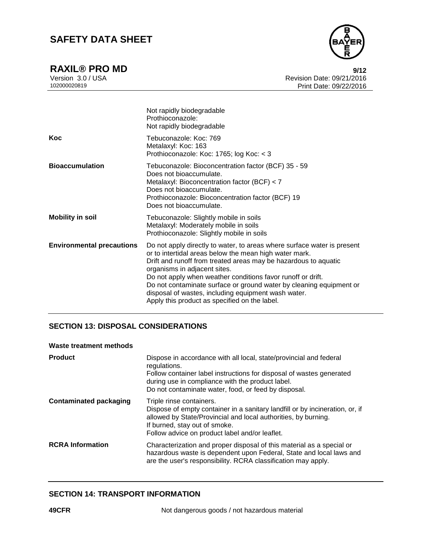

**RAXIL® PRO MD** 9/12<br>Version 3.0 / USA 9/12 Version 3.0 / USA Revision Date: 09/21/2016 Print Date: 09/22/2016

|                                  | Not rapidly biodegradable<br>Prothioconazole:<br>Not rapidly biodegradable                                                                                                                                                                                                                                                                                                                                                                                                         |
|----------------------------------|------------------------------------------------------------------------------------------------------------------------------------------------------------------------------------------------------------------------------------------------------------------------------------------------------------------------------------------------------------------------------------------------------------------------------------------------------------------------------------|
| Koc                              | Tebuconazole: Koc: 769<br>Metalaxyl: Koc: 163<br>Prothioconazole: Koc: 1765; log Koc: < 3                                                                                                                                                                                                                                                                                                                                                                                          |
| <b>Bioaccumulation</b>           | Tebuconazole: Bioconcentration factor (BCF) 35 - 59<br>Does not bioaccumulate.<br>Metalaxyl: Bioconcentration factor (BCF) < 7<br>Does not bioaccumulate.<br>Prothioconazole: Bioconcentration factor (BCF) 19<br>Does not bioaccumulate.                                                                                                                                                                                                                                          |
| <b>Mobility in soil</b>          | Tebuconazole: Slightly mobile in soils<br>Metalaxyl: Moderately mobile in soils<br>Prothioconazole: Slightly mobile in soils                                                                                                                                                                                                                                                                                                                                                       |
| <b>Environmental precautions</b> | Do not apply directly to water, to areas where surface water is present<br>or to intertidal areas below the mean high water mark.<br>Drift and runoff from treated areas may be hazardous to aquatic<br>organisms in adjacent sites.<br>Do not apply when weather conditions favor runoff or drift.<br>Do not contaminate surface or ground water by cleaning equipment or<br>disposal of wastes, including equipment wash water.<br>Apply this product as specified on the label. |

## **SECTION 13: DISPOSAL CONSIDERATIONS**

### **Waste treatment methods**

| <b>Product</b>                | Dispose in accordance with all local, state/provincial and federal<br>regulations.<br>Follow container label instructions for disposal of wastes generated<br>during use in compliance with the product label.                                                                                                        |
|-------------------------------|-----------------------------------------------------------------------------------------------------------------------------------------------------------------------------------------------------------------------------------------------------------------------------------------------------------------------|
| <b>Contaminated packaging</b> | Do not contaminate water, food, or feed by disposal.<br>Triple rinse containers.<br>Dispose of empty container in a sanitary landfill or by incineration, or, if<br>allowed by State/Provincial and local authorities, by burning.<br>If burned, stay out of smoke.<br>Follow advice on product label and/or leaflet. |
| <b>RCRA</b> Information       | Characterization and proper disposal of this material as a special or<br>hazardous waste is dependent upon Federal, State and local laws and<br>are the user's responsibility. RCRA classification may apply.                                                                                                         |

## **SECTION 14: TRANSPORT INFORMATION**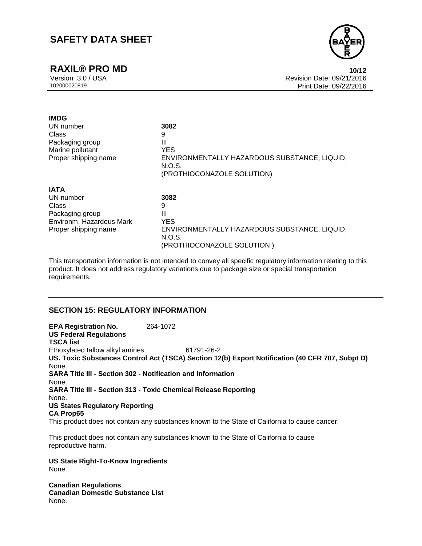## **RAXIL® PRO MD 10/12**



Version 3.0 / USA Revision Date: 09/21/2016 Print Date: 09/22/2016

| <b>IMDG</b>              |                                                        |
|--------------------------|--------------------------------------------------------|
| UN number                | 3082                                                   |
| Class                    | 9                                                      |
| Packaging group          | Ш                                                      |
| Marine pollutant         | <b>YES</b>                                             |
| Proper shipping name     | ENVIRONMENTALLY HAZARDOUS SUBSTANCE, LIQUID,           |
|                          | N.O.S.                                                 |
|                          | (PROTHIOCONAZOLE SOLUTION)                             |
| <b>IATA</b>              |                                                        |
| UN number                | 3082                                                   |
| Class                    | 9                                                      |
| Packaging group          | Ш                                                      |
| Environm. Hazardous Mark | <b>YES</b>                                             |
| Proper shipping name     | ENVIRONMENTALLY HAZARDOUS SUBSTANCE, LIQUID,<br>N.O.S. |

This transportation information is not intended to convey all specific regulatory information relating to this product. It does not address regulatory variations due to package size or special transportation requirements.

(PROTHIOCONAZOLE SOLUTION )

### **SECTION 15: REGULATORY INFORMATION**

**EPA Registration No.** 264-1072 **US Federal Regulations TSCA list** Ethoxylated tallow alkyl amines 61791-26-2 **US. Toxic Substances Control Act (TSCA) Section 12(b) Export Notification (40 CFR 707, Subpt D)** None. **SARA Title III - Section 302 - Notification and Information** None. **SARA Title III - Section 313 - Toxic Chemical Release Reporting** None. **US States Regulatory Reporting CA Prop65** This product does not contain any substances known to the State of California to cause cancer.

This product does not contain any substances known to the State of California to cause reproductive harm.

**US State Right-To-Know Ingredients** None.

**Canadian Regulations Canadian Domestic Substance List** None.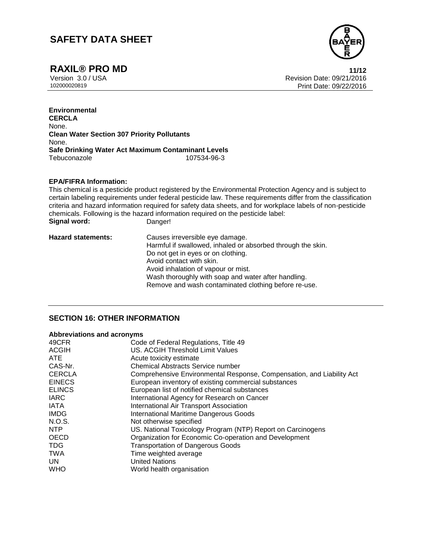

**RAXIL® PRO MD** 11/12<br>Version 3.0 / USA 11/12 Version 3.0 / USA Revision Date: 09/21/2016 Print Date: 09/22/2016

**Environmental CERCLA** None. **Clean Water Section 307 Priority Pollutants** None. **Safe Drinking Water Act Maximum Contaminant Levels** Tebuconazole

#### **EPA/FIFRA Information:**

This chemical is a pesticide product registered by the Environmental Protection Agency and is subject to certain labeling requirements under federal pesticide law. These requirements differ from the classification criteria and hazard information required for safety data sheets, and for workplace labels of non-pesticide chemicals. Following is the hazard information required on the pesticide label:<br>Signal word: Danger! **Signal word:** 

| <b>Hazard statements:</b> | Causes irreversible eye damage.                             |
|---------------------------|-------------------------------------------------------------|
|                           | Harmful if swallowed, inhaled or absorbed through the skin. |
|                           | Do not get in eyes or on clothing.                          |
|                           | Avoid contact with skin.                                    |
|                           | Avoid inhalation of vapour or mist.                         |
|                           | Wash thoroughly with soap and water after handling.         |
|                           | Remove and wash contaminated clothing before re-use.        |

### **SECTION 16: OTHER INFORMATION**

#### **Abbreviations and acronyms**

| US. ACGIH Threshold Limit Values<br><b>ACGIH</b><br>ATE<br>Acute toxicity estimate<br>CAS-Nr.<br><b>Chemical Abstracts Service number</b><br><b>CERCLA</b><br><b>EINECS</b><br>European inventory of existing commercial substances<br><b>ELINCS</b><br>European list of notified chemical substances<br><b>IARC</b><br>International Agency for Research on Cancer<br><b>IATA</b><br>International Air Transport Association<br><b>IMDG</b><br><b>International Maritime Dangerous Goods</b><br>N.O.S.<br>Not otherwise specified<br>US. National Toxicology Program (NTP) Report on Carcinogens<br>NTP<br><b>OECD</b><br>Organization for Economic Co-operation and Development<br><b>TDG</b><br><b>Transportation of Dangerous Goods</b><br><b>TWA</b><br>Time weighted average<br><b>United Nations</b><br>UN<br><b>WHO</b><br>World health organisation | 49CFR | Code of Federal Regulations, Title 49                                 |
|--------------------------------------------------------------------------------------------------------------------------------------------------------------------------------------------------------------------------------------------------------------------------------------------------------------------------------------------------------------------------------------------------------------------------------------------------------------------------------------------------------------------------------------------------------------------------------------------------------------------------------------------------------------------------------------------------------------------------------------------------------------------------------------------------------------------------------------------------------------|-------|-----------------------------------------------------------------------|
|                                                                                                                                                                                                                                                                                                                                                                                                                                                                                                                                                                                                                                                                                                                                                                                                                                                              |       |                                                                       |
|                                                                                                                                                                                                                                                                                                                                                                                                                                                                                                                                                                                                                                                                                                                                                                                                                                                              |       |                                                                       |
|                                                                                                                                                                                                                                                                                                                                                                                                                                                                                                                                                                                                                                                                                                                                                                                                                                                              |       |                                                                       |
|                                                                                                                                                                                                                                                                                                                                                                                                                                                                                                                                                                                                                                                                                                                                                                                                                                                              |       | Comprehensive Environmental Response, Compensation, and Liability Act |
|                                                                                                                                                                                                                                                                                                                                                                                                                                                                                                                                                                                                                                                                                                                                                                                                                                                              |       |                                                                       |
|                                                                                                                                                                                                                                                                                                                                                                                                                                                                                                                                                                                                                                                                                                                                                                                                                                                              |       |                                                                       |
|                                                                                                                                                                                                                                                                                                                                                                                                                                                                                                                                                                                                                                                                                                                                                                                                                                                              |       |                                                                       |
|                                                                                                                                                                                                                                                                                                                                                                                                                                                                                                                                                                                                                                                                                                                                                                                                                                                              |       |                                                                       |
|                                                                                                                                                                                                                                                                                                                                                                                                                                                                                                                                                                                                                                                                                                                                                                                                                                                              |       |                                                                       |
|                                                                                                                                                                                                                                                                                                                                                                                                                                                                                                                                                                                                                                                                                                                                                                                                                                                              |       |                                                                       |
|                                                                                                                                                                                                                                                                                                                                                                                                                                                                                                                                                                                                                                                                                                                                                                                                                                                              |       |                                                                       |
|                                                                                                                                                                                                                                                                                                                                                                                                                                                                                                                                                                                                                                                                                                                                                                                                                                                              |       |                                                                       |
|                                                                                                                                                                                                                                                                                                                                                                                                                                                                                                                                                                                                                                                                                                                                                                                                                                                              |       |                                                                       |
|                                                                                                                                                                                                                                                                                                                                                                                                                                                                                                                                                                                                                                                                                                                                                                                                                                                              |       |                                                                       |
|                                                                                                                                                                                                                                                                                                                                                                                                                                                                                                                                                                                                                                                                                                                                                                                                                                                              |       |                                                                       |
|                                                                                                                                                                                                                                                                                                                                                                                                                                                                                                                                                                                                                                                                                                                                                                                                                                                              |       |                                                                       |